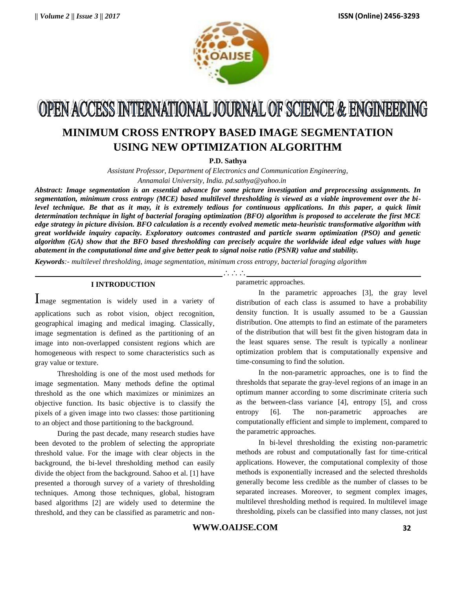

# OPEN ACCESS INTERNATIONAL JOURNAL OF SCIENCE & ENGINEERING

# **MINIMUM CROSS ENTROPY BASED IMAGE SEGMENTATION USING NEW OPTIMIZATION ALGORITHM**

**P.D. Sathya**

*Assistant Professor, Department of Electronics and Communication Engineering,* 

*Annamalai University, India. pd.sathya@yahoo.in* 

*Abstract: Image segmentation is an essential advance for some picture investigation and preprocessing assignments. In segmentation, minimum cross entropy (MCE) based multilevel thresholding is viewed as a viable improvement over the bilevel technique. Be that as it may, it is extremely tedious for continuous applications. In this paper, a quick limit determination technique in light of bacterial foraging optimization (BFO) algorithm is proposed to accelerate the first MCE edge strategy in picture division. BFO calculation is a recently evolved memetic meta-heuristic transformative algorithm with great worldwide inquiry capacity. Exploratory outcomes contrasted and particle swarm optimization (PSO) and genetic algorithm (GA) show that the BFO based thresholding can precisely acquire the worldwide ideal edge values with huge abatement in the computational time and give better peak to signal noise ratio (PSNR) value and stability.*

 $\mathcal{L}$  ,  $\mathcal{L}$  ,  $\mathcal{L}$ 

*Keywords:- multilevel thresholding, image segmentation, minimum cross entropy, bacterial foraging algorithm*

#### **I INTRODUCTION**

Image segmentation is widely used in a variety of applications such as robot vision, object recognition,

geographical imaging and medical imaging. Classically, image segmentation is defined as the partitioning of an image into non-overlapped consistent regions which are homogeneous with respect to some characteristics such as gray value or texture.

Thresholding is one of the most used methods for image segmentation. Many methods define the optimal threshold as the one which maximizes or minimizes an objective function. Its basic objective is to classify the pixels of a given image into two classes: those partitioning to an object and those partitioning to the background.

During the past decade, many research studies have been devoted to the problem of selecting the appropriate threshold value. For the image with clear objects in the background, the bi-level thresholding method can easily divide the object from the background. Sahoo et al. [1] have presented a thorough survey of a variety of thresholding techniques. Among those techniques, global, histogram based algorithms [2] are widely used to determine the threshold, and they can be classified as parametric and nonparametric approaches.

In the parametric approaches [3], the gray level distribution of each class is assumed to have a probability density function. It is usually assumed to be a Gaussian distribution. One attempts to find an estimate of the parameters of the distribution that will best fit the given histogram data in the least squares sense. The result is typically a nonlinear optimization problem that is computationally expensive and time-consuming to find the solution.

In the non-parametric approaches, one is to find the thresholds that separate the gray-level regions of an image in an optimum manner according to some discriminate criteria such as the between-class variance [4], entropy [5], and cross entropy [6]. The non-parametric approaches are computationally efficient and simple to implement, compared to the parametric approaches.

In bi-level thresholding the existing non-parametric methods are robust and computationally fast for time-critical applications. However, the computational complexity of those methods is exponentially increased and the selected thresholds generally become less credible as the number of classes to be separated increases. Moreover, to segment complex images, multilevel thresholding method is required. In multilevel image thresholding, pixels can be classified into many classes, not just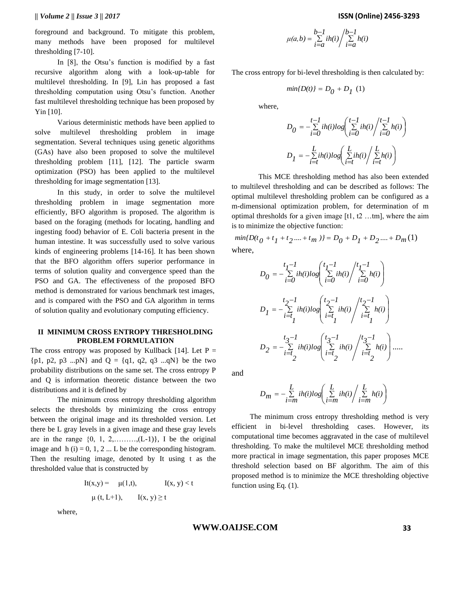foreground and background. To mitigate this problem, many methods have been proposed for multilevel thresholding [7-10].

In [8], the Otsu's function is modified by a fast recursive algorithm along with a look-up-table for multilevel thresholding. In [9], Lin has proposed a fast thresholding computation using Otsu's function. Another fast multilevel thresholding technique has been proposed by Yin [10].

Various deterministic methods have been applied to solve multilevel thresholding problem in image segmentation. Several techniques using genetic algorithms (GAs) have also been proposed to solve the multilevel thresholding problem [11], [12]. The particle swarm optimization (PSO) has been applied to the multilevel thresholding for image segmentation [13].

In this study, in order to solve the multilevel thresholding problem in image segmentation more efficiently, BFO algorithm is proposed. The algorithm is based on the foraging (methods for locating, handling and ingesting food) behavior of E. Coli bacteria present in the human intestine. It was successfully used to solve various kinds of engineering problems [14-16]. It has been shown that the BFO algorithm offers superior performance in terms of solution quality and convergence speed than the PSO and GA. The effectiveness of the proposed BFO method is demonstrated for various benchmark test images, and is compared with the PSO and GA algorithm in terms of solution quality and evolutionary computing efficiency.

#### **II MINIMUM CROSS ENTROPY THRESHOLDING PROBLEM FORMULATION**

The cross entropy was proposed by Kullback [14]. Let  $P =$ {p1, p2, p3 ...pN} and  $Q = \{q1, q2, q3$  ...qN} be the two probability distributions on the same set. The cross entropy P and Q is information theoretic distance between the two distributions and it is defined by

The minimum cross entropy thresholding algorithm selects the thresholds by minimizing the cross entropy between the original image and its thresholded version. Let there be L gray levels in a given image and these gray levels are in the range  $\{0, 1, 2, \ldots, (L-1)\}\$ , I be the original image and  $h(i) = 0, 1, 2...$  L be the corresponding histogram. Then the resulting image, denoted by It using t as the thresholded value that is constructed by

$$
It(x,y) = \mu(1,t), \qquad I(x, y) < t
$$

$$
\mu(t, L+1), \qquad I(x, y) \ge t
$$

where,

$$
\mu(a,b) = \sum_{i=a}^{b-1} ih(i) / \sum_{i=a}^{b-1} h(i)
$$

The cross entropy for bi-level thresholding is then calculated by:

$$
min\{D(t)\} = D_0 + D_1 \ (1)
$$

where,

$$
D_0 = -\sum_{i=0}^{t-1} ih(i)log\left(\sum_{i=0}^{t-1} ih(i) / \sum_{i=0}^{t-1} h(i)\right)
$$
  

$$
D_1 = -\sum_{i=t}^{L} ih(i)log\left(\sum_{i=t}^{L} ih(i) / \sum_{i=t}^{L} h(i)\right)
$$

This MCE thresholding method has also been extended to multilevel thresholding and can be described as follows: The optimal multilevel thresholding problem can be configured as a m-dimensional optimization problem, for determination of m optimal thresholds for a given image [t1, t2 …tm], where the aim is to minimize the objective function:

 $min\{D(t_0 + t_1 + t_2 + \ldots + t_m)\} = D_0 + D_1 + D_2 + \ldots + D_m(1)$ where,

$$
\begin{aligned} D_0&=-\sum_{i=0}^{t_I-1}ih(i)log\left(\sum_{i=0}^{t_I-1}ih(i)\right)\sum_{i=0}^{t_I-1}h(i)\\ D_I&=-\sum_{i=t}^{t_2-1}ih(i)log\left(\sum_{i=t}^{t_2-1}ih(i)\right)\sum_{i=t}^{t_2-1}h(i)\\ D_2&=-\sum_{i=t_2}^{t_3-1}ih(i)log\left(\sum_{i=t_2}^{t_3-1}ih(i)\right)\sum_{i=t_2}^{t_3-1}h(i)\\ \end{aligned}
$$

and

$$
D_m = -\sum_{i=m}^{L} ih(i)log\left(\sum_{i=m}^{L} ih(i) / \sum_{i=m}^{L} h(i)\right)
$$

The minimum cross entropy thresholding method is very efficient in bi-level thresholding cases. However, its computational time becomes aggravated in the case of multilevel thresholding. To make the multilevel MCE thresholding method more practical in image segmentation, this paper proposes MCE threshold selection based on BF algorithm. The aim of this proposed method is to minimize the MCE thresholding objective function using Eq. (1).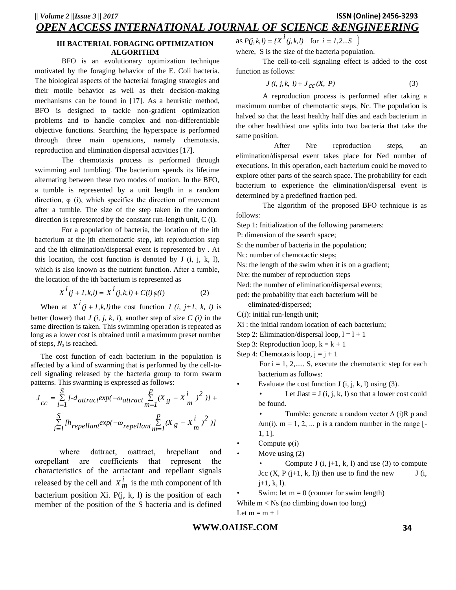#### **III BACTERIAL FORAGING OPTIMIZATION ALGORITHM**

BFO is an evolutionary optimization technique motivated by the foraging behavior of the E. Coli bacteria. The biological aspects of the bacterial foraging strategies and their motile behavior as well as their decision-making mechanisms can be found in [17]. As a heuristic method, BFO is designed to tackle non-gradient optimization problems and to handle complex and non-differentiable objective functions. Searching the hyperspace is performed through three main operations, namely chemotaxis, reproduction and elimination dispersal activities [17].

The chemotaxis process is performed through swimming and tumbling. The bacterium spends its lifetime alternating between these two modes of motion. In the BFO, a tumble is represented by a unit length in a random direction, φ (i), which specifies the direction of movement after a tumble. The size of the step taken in the random direction is represented by the constant run-length unit, C (i).

For a population of bacteria, the location of the ith bacterium at the jth chemotactic step, kth reproduction step and the lth elimination/dispersal event is represented by . At this location, the cost function is denoted by  $J$  (i, j, k, l), which is also known as the nutrient function. After a tumble, the location of the ith bacterium is represented as

$$
X^{i}(j + 1, k, l) = X^{i}(j, k, l) + C(i)\varphi(i)
$$
 (2)

When at  $X^{i}$  (*j* + *1, k, l*) the cost function *J* (*i, j+1, k, l*) is better (lower) that  $J(i, j, k, l)$ , another step of size  $C(i)$  in the same direction is taken. This swimming operation is repeated as long as a lower cost is obtained until a maximum preset number of steps, *N<sup>s</sup>* is reached.

The cost function of each bacterium in the population is affected by a kind of swarming that is performed by the cell-tocell signaling released by the bacteria group to form swarm patterns. This swarming is expressed as follows:

$$
J_{cc} = \sum_{i=1}^{S} \int -d_{attract} exp(-\omega_{attract} \sum_{m=1}^{p} (X_g - X_m^i)^2) J +
$$
  

$$
\sum_{i=1}^{S} \int -1^{R} repellant^{exp(-\omega_{repellant} \sum_{m=1}^{p} (X_g - X_m^i)^2) J
$$

where dattract, ωattract, hrepellant and ωrepellant are coefficients that represent the characteristics of the arrtactant and repellant signals released by the cell and  $X_m^i$  is the mth component of ith bacterium position Xi.  $P(i, k, l)$  is the position of each member of the position of the S bacteria and is defined

 $\{a \in P(j, k, l) = \{X^{i}(j, k, l) \text{ for } i = 1, 2...S \}$ 

where, S is the size of the bacteria population.

The cell-to-cell signaling effect is added to the cost function as follows:

$$
J(i, j, k, l) + J_{CC}(X, P)
$$
 (3)

A reproduction process is performed after taking a maximum number of chemotactic steps, Nc. The population is halved so that the least healthy half dies and each bacterium in the other healthiest one splits into two bacteria that take the same position.

 After Nre reproduction steps, an elimination/dispersal event takes place for Ned number of executions. In this operation, each bacterium could be moved to explore other parts of the search space. The probability for each bacterium to experience the elimination/dispersal event is determined by a predefined fraction ped.

The algorithm of the proposed BFO technique is as follows:

Step 1: Initialization of the following parameters:

P: dimension of the search space;

S: the number of bacteria in the population;

Nc: number of chemotactic steps;

Ns: the length of the swim when it is on a gradient;

Nre: the number of reproduction steps

Ned: the number of elimination/dispersal events;

ped: the probability that each bacterium will be eliminated/dispersed;

C(i): initial run-length unit;

Xi : the initial random location of each bacterium;

Step 2: Elimination/dispersal loop,  $l = l + 1$ 

- Step 3: Reproduction loop,  $k = k + 1$
- Step 4: Chemotaxis loop,  $i = i + 1$

For  $i = 1, 2, \ldots$  S, execute the chemotactic step for each bacterium as follows:

Evaluate the cost function  $J(i, j, k, l)$  using (3).

Let Jlast  $= J(i, j, k, l)$  so that a lower cost could be found.

• Tumble: generate a random vector  $\Delta$  (i)R p and  $\Delta m(i)$ , m = 1, 2, ... p is a random number in the range [-1, 1].

Compute  $\varphi(i)$ 

Move using  $(2)$ 

Compute J  $(i, j+1, k, l)$  and use  $(3)$  to compute Jcc  $(X, P (j+1, k, l))$  then use to find the new J (i,  $j+1, k, l$ ).

Swim: let  $m = 0$  (counter for swim length)

While  $m < Ns$  (no climbing down too long)

Let  $m = m + 1$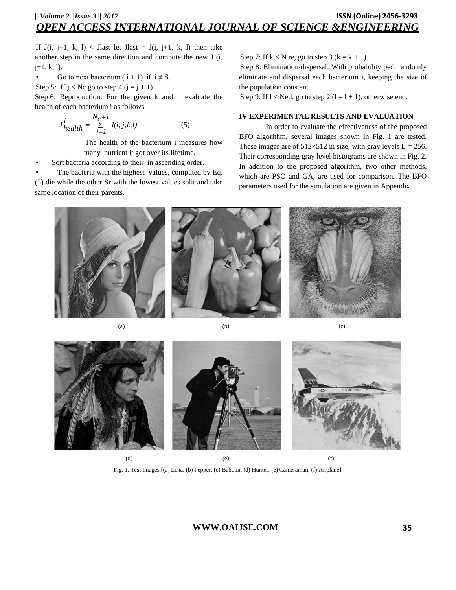# *|| Volume 2 ||Issue 3 || 2017* **ISSN (Online) 2456-3293** *OPEN ACCESS INTERNATIONAL JOURNAL OF SCIENCE &ENGINEERING*

If  $J(i, j+1, k, l)$  < Jlast let Jlast =  $J(i, j+1, k, l)$  then take another step in the same direction and compute the new J (i, j+1, k, l).

- Go to next bacterium ( $i + 1$ ) if  $i \neq S$ .
- Step 5: If  $j <$  Nc go to step 4 ( $j = j + 1$ ).

Step 6: Reproduction: For the given k and l, evaluate the health of each bacterium i as follows

$$
J_{\text{health}}^i = \sum_{j=1}^{N_C+1} J(i, j, k, l)
$$
 (5)

The health of the bacterium i measures how many nutrient it got over its lifetime.

Sort bacteria according to their in ascending order.

The bacteria with the highest values, computed by Eq. (5) die while the other Sr with the lowest values split and take same location of their parents.

Step 7: If  $k < N$  re, go to step 3  $(k = k + 1)$ 

Step 8: Elimination/dispersal: With probability ped, randomly eliminate and dispersal each bacterium i, keeping the size of the population constant.

Step 9: If  $1 <$  Ned, go to step 2 ( $1 = 1 + 1$ ), otherwise end.

#### **IV EXPERIMENTAL RESULTS AND EVALUATION**

In order to evaluate the effectiveness of the proposed BFO algorithm, several images shown in Fig. 1 are tested. These images are of  $512\times512$  in size, with gray levels L = 256. Their corresponding gray level histograms are shown in Fig. 2. In addition to the proposed algorithm, two other methods, which are PSO and GA, are used for comparison. The BFO parameters used for the simulation are given in Appendix.







(d)  $(e)$  (f) Fig. 1. Test Images [(a) Lena, (b) Pepper, (c) Baboon, (d) Hunter, (e) Cameraman, (f) Airplane]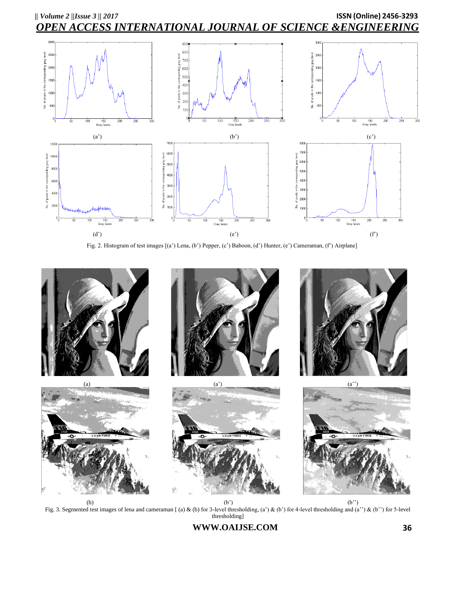*|| Volume 2 ||Issue 3 || 2017* **ISSN (Online) 2456-3293** *OPEN ACCESS INTERNATIONAL JOURNAL OF SCIENCE &ENGINEERING*



Fig. 2. Histogram of test images [(a') Lena, (b') Pepper, (c') Baboon, (d') Hunter, (e') Cameraman, (f') Airplane]



Fig. 3. Segmented test images of lena and cameraman [(a) & (b) for 3-level thresholding, (a') & (b') for 4-level thresholding and (a'') & (b'') for 5-level thresholding]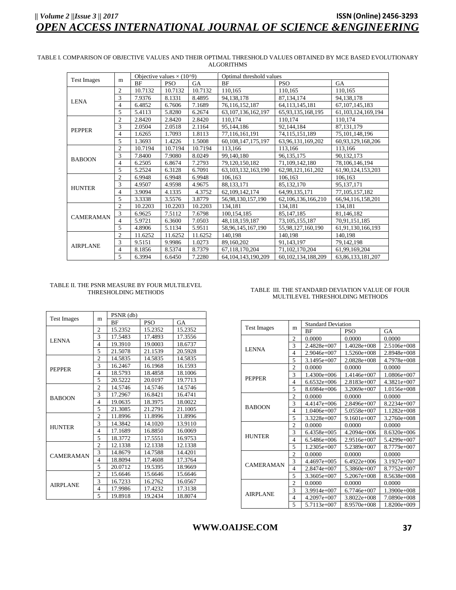|                                                                               |                                                                                                                                                                                                                                                                                                                                                                                                                                                                                                                                                                                                                                                                                                                                                                  | Objective values $\times$ (10^9) |                   | Optimal threshold values |                        |                        |                        |
|-------------------------------------------------------------------------------|------------------------------------------------------------------------------------------------------------------------------------------------------------------------------------------------------------------------------------------------------------------------------------------------------------------------------------------------------------------------------------------------------------------------------------------------------------------------------------------------------------------------------------------------------------------------------------------------------------------------------------------------------------------------------------------------------------------------------------------------------------------|----------------------------------|-------------------|--------------------------|------------------------|------------------------|------------------------|
|                                                                               |                                                                                                                                                                                                                                                                                                                                                                                                                                                                                                                                                                                                                                                                                                                                                                  | <b>BF</b>                        | <b>PSO</b>        | GA                       | <b>BF</b>              | <b>PSO</b>             | <b>GA</b>              |
|                                                                               | 2                                                                                                                                                                                                                                                                                                                                                                                                                                                                                                                                                                                                                                                                                                                                                                | 10.7132                          | 10.7132           | 10.7132                  | 110,165                | 110,165                | 110,165                |
| <b>Test Images</b><br><b>LENA</b><br>PEPPER<br><b>BABOON</b><br><b>HUNTER</b> | 3                                                                                                                                                                                                                                                                                                                                                                                                                                                                                                                                                                                                                                                                                                                                                                | 7.9376                           | 8.1331            | 8.4895                   | 94,138,178             | 87, 134, 174           | 94,138,178             |
|                                                                               | 4                                                                                                                                                                                                                                                                                                                                                                                                                                                                                                                                                                                                                                                                                                                                                                | 6.4852                           | 6.7606            | 7.1689                   | 76,116,152,187         | 64, 113, 145, 181      | 67.107.145.183         |
|                                                                               | 5                                                                                                                                                                                                                                                                                                                                                                                                                                                                                                                                                                                                                                                                                                                                                                | 5.4113                           | 5.8280            | 6.2674                   | 63, 107, 136, 162, 197 | 65, 93, 135, 168, 195  | 61, 103, 124, 169, 194 |
|                                                                               | $\overline{c}$                                                                                                                                                                                                                                                                                                                                                                                                                                                                                                                                                                                                                                                                                                                                                   | 2.8420                           | 2.8420            | 2.8420                   | 110,174                | 110,174                | 110,174                |
|                                                                               | 3                                                                                                                                                                                                                                                                                                                                                                                                                                                                                                                                                                                                                                                                                                                                                                | 2.0504                           | 2.0518            | 2.1164                   | 95,144,186             | 92,144,184             | 87, 131, 179           |
|                                                                               | m<br>1.6265<br>1.7093<br>1.8113<br>$\overline{4}$<br>5<br>1.3693<br>1.4226<br>1.5008<br>2<br>10.7194<br>10.7194<br>10.7194<br>113.166<br>3<br>7.8400<br>7.9080<br>8.0249<br>6.2505<br>6.8674<br>7.2793<br>4<br>5<br>5.2524<br>6.3128<br>6.7091<br>$\overline{c}$<br>6.9948<br>6.9948<br>6.9948<br>106,163<br>3<br>4.9507<br>4.9598<br>4.9675<br>3.9094<br>4<br>4.1335<br>4.3752<br>5<br>3.3338<br>3.5576<br>3.8779<br>2<br>10.2203<br>10.2203<br>134,181<br>10.2203<br>3<br>7.5112<br>6.9625<br>7.6798<br>4<br>5.9721<br>6.3600<br>7.0503<br>5<br>5.1134<br>4.8906<br>5.9511<br>$\overline{c}$<br>11.6252<br>11.6252<br>11.6252<br>140,198<br>3<br>9.5151<br>9.9986<br>1.0273<br>$\overline{4}$<br>8.1856<br>8.5374<br>8.7379<br>5<br>6.3994<br>6.6450<br>7.2280 | 77,116,161,191                   | 74, 115, 151, 189 | 75,101,148,196           |                        |                        |                        |
|                                                                               |                                                                                                                                                                                                                                                                                                                                                                                                                                                                                                                                                                                                                                                                                                                                                                  |                                  |                   |                          | 60, 108, 147, 175, 197 | 63,96,131,169,202      | 60,93,129,168,206      |
|                                                                               |                                                                                                                                                                                                                                                                                                                                                                                                                                                                                                                                                                                                                                                                                                                                                                  |                                  |                   |                          |                        | 113,166                | 113,166                |
|                                                                               |                                                                                                                                                                                                                                                                                                                                                                                                                                                                                                                                                                                                                                                                                                                                                                  |                                  |                   |                          | 99,140,180             | 96, 135, 175           | 90,132,173             |
|                                                                               |                                                                                                                                                                                                                                                                                                                                                                                                                                                                                                                                                                                                                                                                                                                                                                  |                                  |                   |                          | 79,120,150,182         | 71, 109, 142, 180      | 78,106,146,194         |
|                                                                               |                                                                                                                                                                                                                                                                                                                                                                                                                                                                                                                                                                                                                                                                                                                                                                  |                                  |                   |                          | 63, 103, 132, 163, 190 | 62,98,121,161,202      | 61,90,124,153,203      |
| <b>CAMERAMAN</b><br><b>AIRPLANE</b>                                           |                                                                                                                                                                                                                                                                                                                                                                                                                                                                                                                                                                                                                                                                                                                                                                  |                                  |                   |                          |                        | 106,163                | 106,163                |
|                                                                               |                                                                                                                                                                                                                                                                                                                                                                                                                                                                                                                                                                                                                                                                                                                                                                  |                                  |                   |                          | 88,133,171             | 85,132,170             | 95,137,171             |
|                                                                               |                                                                                                                                                                                                                                                                                                                                                                                                                                                                                                                                                                                                                                                                                                                                                                  |                                  |                   |                          | 62, 109, 142, 174      | 64,99,135,171          | 77, 105, 157, 182      |
|                                                                               |                                                                                                                                                                                                                                                                                                                                                                                                                                                                                                                                                                                                                                                                                                                                                                  |                                  |                   |                          | 56,98,130,157,190      | 62, 106, 136, 166, 210 | 66,94,116,158,201      |
|                                                                               |                                                                                                                                                                                                                                                                                                                                                                                                                                                                                                                                                                                                                                                                                                                                                                  |                                  |                   |                          |                        | 134,181                | 134,181                |
|                                                                               |                                                                                                                                                                                                                                                                                                                                                                                                                                                                                                                                                                                                                                                                                                                                                                  |                                  |                   |                          | 100,154,185            | 85, 147, 185           | 81,146,182             |
|                                                                               |                                                                                                                                                                                                                                                                                                                                                                                                                                                                                                                                                                                                                                                                                                                                                                  |                                  |                   |                          | 48,118,159,187         | 73, 105, 155, 187      | 70,91,151,185          |
|                                                                               |                                                                                                                                                                                                                                                                                                                                                                                                                                                                                                                                                                                                                                                                                                                                                                  |                                  |                   |                          | 58,96,145,167,190      | 55,98,127,160,190      | 61,91,130,166,193      |
|                                                                               |                                                                                                                                                                                                                                                                                                                                                                                                                                                                                                                                                                                                                                                                                                                                                                  |                                  |                   |                          |                        | 140,198                | 140,198                |
|                                                                               |                                                                                                                                                                                                                                                                                                                                                                                                                                                                                                                                                                                                                                                                                                                                                                  |                                  |                   |                          | 89,160,202             | 91,143,197             | 79,142,198             |
|                                                                               |                                                                                                                                                                                                                                                                                                                                                                                                                                                                                                                                                                                                                                                                                                                                                                  |                                  |                   |                          | 67,118,170,204         | 71,102,170,204         | 61,99,169,204          |
|                                                                               |                                                                                                                                                                                                                                                                                                                                                                                                                                                                                                                                                                                                                                                                                                                                                                  |                                  |                   |                          | 64.104.143.190.209     | 60.102.134.188.209     | 63,86,133,181,207      |

TABLE I. COMPARISON OF OBJECTIVE VALUES AND THEIR OPTIMAL THRESHOLD VALUES OBTAINED BY MCE BASED EVOLUTIONARY ALGORITHMS

#### TABLE II. THE PSNR MEASURE BY FOUR MULTILEVEL THRESHOLDING METHODS

#### TABLE III. THE STANDARD DEVIATION VALUE OF FOUR MULTILEVEL THRESHOLDING METHODS

| <b>Test Images</b> | m              | PSNR (db) |            |         |  |
|--------------------|----------------|-----------|------------|---------|--|
|                    |                | ВF        | <b>PSO</b> | GA      |  |
|                    | $\overline{c}$ | 15.2352   | 15.2352    | 15.2352 |  |
| <b>LENNA</b>       | 3              | 17.5483   | 17.4893    | 17.3556 |  |
|                    | $\overline{4}$ | 19.3910   | 19.0003    | 18.6737 |  |
|                    | 5              | 21.5078   | 21.1539    | 20.5928 |  |
|                    | $\overline{2}$ | 14.5835   | 14.5835    | 14.5835 |  |
| <b>PEPPER</b>      | 3              | 16.2467   | 16.1968    | 16.1593 |  |
|                    | $\overline{4}$ | 18.5793   | 18.4858    | 18.1006 |  |
|                    | 5              | 20.5222   | 20.0197    | 19.7713 |  |
|                    | $\overline{2}$ | 14.5746   | 14.5746    | 14.5746 |  |
| <b>BABOON</b>      | $\overline{3}$ | 17.2967   | 16.8421    | 16.4741 |  |
|                    | 4              | 19.0635   | 18.3975    | 18.0022 |  |
|                    | 5              | 21.3085   | 21.2791    | 21.1005 |  |
|                    | $\overline{c}$ | 11.8996   | 11.8996    | 11.8996 |  |
| <b>HUNTER</b>      | 3              | 14.3842   | 14.1020    | 13.9110 |  |
|                    | $\overline{4}$ | 17.1689   | 16.8850    | 16.0069 |  |
|                    | 5              | 18.3772   | 17.5551    | 16.9753 |  |
|                    | $\overline{c}$ | 12.1338   | 12.1338    | 12.1338 |  |
| <b>CAMERAMAN</b>   | 3              | 14.8679   | 14.7588    | 14.4201 |  |
|                    | $\overline{4}$ | 18.8094   | 17.4608    | 17.3764 |  |
|                    | 5              | 20.0712   | 19.5395    | 18.9669 |  |
|                    | $\overline{2}$ | 15.6646   | 15.6646    | 15.6646 |  |
| <b>AIRPLANE</b>    | 3              | 16.7233   | 16.2762    | 16.0567 |  |
|                    | $\overline{4}$ | 17.9986   | 17.4232    | 17.3138 |  |
|                    | 5              | 19.8918   | 19.2434    | 18.8074 |  |

| <b>Test Images</b> | m              | <b>Standard Deviation</b> |               |               |  |
|--------------------|----------------|---------------------------|---------------|---------------|--|
|                    |                | <b>BF</b>                 | PSO           | GA            |  |
|                    | $\overline{2}$ | 0.0000                    | 0.0000        | 0.0000        |  |
| <b>LENNA</b>       | 3              | 2.4828e+007               | $1.4028e+008$ | 2.5106e+008   |  |
|                    | 4              | $2.9046e+007$             | 1.5260e+008   | 2.8948e+008   |  |
|                    | 5              | $3.1495e+007$             | 2.0828e+008   | 4.7978e+008   |  |
|                    | $\overline{2}$ | 0.0000                    | 0.0000        | 0.0000        |  |
| <b>PEPPER</b>      | 3              | 1.4300e+006               | 1.4146e+007   | 1.0806e+007   |  |
|                    | $\overline{4}$ | $6.6532e+006$             | $2.8183e+007$ | $4.3821e+007$ |  |
|                    | 5              | 8.6984e+006               | $3.2069e+007$ | 1.0156e+008   |  |
|                    | $\overline{2}$ | 0.0000                    | 0.0000        | 0.0000        |  |
| <b>BABOON</b>      | 3              | 4.4147e+006               | 2.8496e+007   | 8.2234e+007   |  |
|                    | $\overline{4}$ | 1.0406e+007               | 5.0558e+007   | 1.1282e+008   |  |
|                    | 5              | 3.3228e+007               | $9.1601e+007$ | $3.2760e+008$ |  |
|                    | $\overline{c}$ | 0.0000                    | 0.0000        | 0.0000        |  |
| <b>HUNTER</b>      | 3              | 6.4358e+005               | $4.2094e+006$ | $8.6320e+006$ |  |
|                    | 4              | $6.5486e+006$             | 2.9516e+007   | 5.4299e+007   |  |
|                    | 5              | 1.2305e+007               | 5.2389e+007   | 8.7779e+007   |  |
|                    | $\overline{2}$ | 0.0000                    | 0.0000        | 0.0000        |  |
| <b>CAMERAMAN</b>   | 3              | $4.4697e+005$             | $6.4922e+006$ | $3.1927e+007$ |  |
|                    | $\overline{4}$ | $2.8474e+007$             | 5.3860e+007   | $8.7752e+007$ |  |
|                    | 5              | 3.3605e+007               | $5.2067e+008$ | 8.5638e+008   |  |
|                    | $\overline{c}$ | 0.0000                    | 0.0000        | 0.0000        |  |
| <b>AIRPLANE</b>    | 3              | 3.9914e+007               | 6.7746e+007   | 1.3900e+008   |  |
|                    | $\overline{4}$ | $4.2097e+007$             | $3.8022e+008$ | 7.0890e+008   |  |
|                    | 5              | 5.7113e+007               | 8.9570e+008   | 1.8200e+009   |  |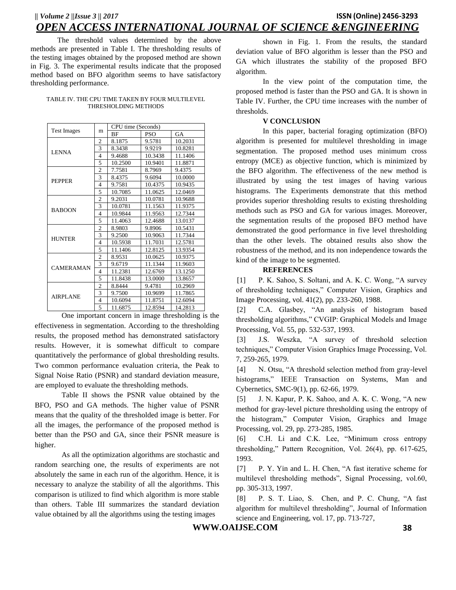# *|| Volume 2 ||Issue 3 || 2017* **ISSN (Online) 2456-3293** *OPEN ACCESS INTERNATIONAL JOURNAL OF SCIENCE &ENGINEERING*

The threshold values determined by the above methods are presented in Table I. The thresholding results of the testing images obtained by the proposed method are shown in Fig. 3. The experimental results indicate that the proposed method based on BFO algorithm seems to have satisfactory thresholding performance.

| TABLE IV. THE CPU TIME TAKEN BY FOUR MULTILEVEL |
|-------------------------------------------------|
| THRESHOLDING METHODS                            |

|                    |                | CPU time (Seconds) |            |           |  |
|--------------------|----------------|--------------------|------------|-----------|--|
| <b>Test Images</b> | m              | <b>BF</b>          | <b>PSO</b> | <b>GA</b> |  |
|                    | $\overline{c}$ | 8.1875             | 9.5781     | 10.2031   |  |
| <b>LENNA</b>       | 3              | 8.3438             | 9.9219     | 10.8281   |  |
|                    | 4              | 9.4688             | 10.3438    | 11.1406   |  |
|                    | 5              | 10.2500            | 10.9401    | 11.8871   |  |
|                    | $\overline{c}$ | 7.7581             | 8.7969     | 9.4375    |  |
| <b>PEPPER</b>      | 3              | 8.4375             | 9.6094     | 10.0000   |  |
|                    | $\overline{4}$ | 9.7581             | 10.4375    | 10.9435   |  |
|                    | 5              | 10.7085            | 11.0625    | 12.0469   |  |
|                    | $\overline{2}$ | 9.2031             | 10.0781    | 10.9688   |  |
| <b>BABOON</b>      | 3              | 10.0781            | 11.1563    | 11.9375   |  |
|                    | $\overline{4}$ | 10.9844            | 11.9563    | 12.7344   |  |
|                    | 5              | 11.4063            | 12.4688    | 13.0137   |  |
|                    | $\overline{2}$ | 8.9803             | 9.8906     | 10.5431   |  |
| <b>HUNTER</b>      | 3              | 9.2500             | 10.9063    | 11.7344   |  |
|                    | 4              | 10.5938            | 11.7031    | 12.5781   |  |
|                    | 5              | 11.1406            | 12.8125    | 13.9354   |  |
|                    | $\overline{2}$ | 8.9531             | 10.0625    | 10.9375   |  |
| <b>CAMERAMAN</b>   | 3              | 9.6719             | 11.1344    | 11.9603   |  |
|                    | 4              | 11.2381            | 12.6769    | 13.1250   |  |
|                    | 5              | 11.8438            | 13.0000    | 13.8657   |  |
|                    | $\overline{2}$ | 8.8444             | 9.4781     | 10.2969   |  |
| <b>AIRPLANE</b>    | 3              | 9.7500             | 10.9699    | 11.7865   |  |
|                    | 4              | 10.6094            | 11.8751    | 12.6094   |  |
|                    | 5              | 11.6875            | 12.8594    | 14.2813   |  |

One important concern in image thresholding is the effectiveness in segmentation. According to the thresholding results, the proposed method has demonstrated satisfactory results. However, it is somewhat difficult to compare quantitatively the performance of global thresholding results. Two common performance evaluation criteria, the Peak to Signal Noise Ratio (PSNR) and standard deviation measure, are employed to evaluate the thresholding methods.

Table II shows the PSNR value obtained by the BFO, PSO and GA methods. The higher value of PSNR means that the quality of the thresholded image is better. For all the images, the performance of the proposed method is better than the PSO and GA, since their PSNR measure is higher.

As all the optimization algorithms are stochastic and random searching one, the results of experiments are not absolutely the same in each run of the algorithm. Hence, it is necessary to analyze the stability of all the algorithms. This comparison is utilized to find which algorithm is more stable than others. Table III summarizes the standard deviation value obtained by all the algorithms using the testing images

shown in Fig. 1. From the results, the standard deviation value of BFO algorithm is lesser than the PSO and GA which illustrates the stability of the proposed BFO algorithm.

In the view point of the computation time, the proposed method is faster than the PSO and GA. It is shown in Table IV. Further, the CPU time increases with the number of thresholds.

#### **V CONCLUSION**

In this paper, bacterial foraging optimization (BFO) algorithm is presented for multilevel thresholding in image segmentation. The proposed method uses minimum cross entropy (MCE) as objective function, which is minimized by the BFO algorithm. The effectiveness of the new method is illustrated by using the test images of having various histograms. The Experiments demonstrate that this method provides superior thresholding results to existing thresholding methods such as PSO and GA for various images. Moreover, the segmentation results of the proposed BFO method have demonstrated the good performance in five level thresholding than the other levels. The obtained results also show the robustness of the method, and its non independence towards the kind of the image to be segmented.

#### **REFERENCES**

[1] P. K. Sahoo, S. Soltani, and A. K. C. Wong, "A survey of thresholding techniques," Computer Vision, Graphics and Image Processing, vol. 41(2), pp. 233-260, 1988.

[2] C.A. Glasbey, "An analysis of histogram based thresholding algorithms," CVGIP: Graphical Models and Image Processing, Vol. 55, pp. 532-537, 1993.

[3] J.S. Weszka, "A survey of threshold selection techniques," Computer Vision Graphics Image Processing, Vol. 7, 259-265, 1979.

[4] N. Otsu, "A threshold selection method from gray-level histograms," IEEE Transaction on Systems, Man and Cybernetics, SMC-9(1), pp. 62-66, 1979.

[5] J. N. Kapur, P. K. Sahoo, and A. K. C. Wong, "A new method for gray-level picture thresholding using the entropy of the histogram," Computer Vision, Graphics and Image Processing, vol. 29, pp. 273-285, 1985.

[6] C.H. Li and C.K. Lee, "Minimum cross entropy thresholding," Pattern Recognition, Vol. 26(4), pp. 617-625, 1993.

[7] P. Y. Yin and L. H. Chen, "A fast iterative scheme for multilevel thresholding methods", Signal Processing, vol.60, pp. 305-313, 1997.

[8] P. S. T. Liao, S. Chen, and P. C. Chung, "A fast algorithm for multilevel thresholding", Journal of Information science and Engineering, vol. 17, pp. 713-727,